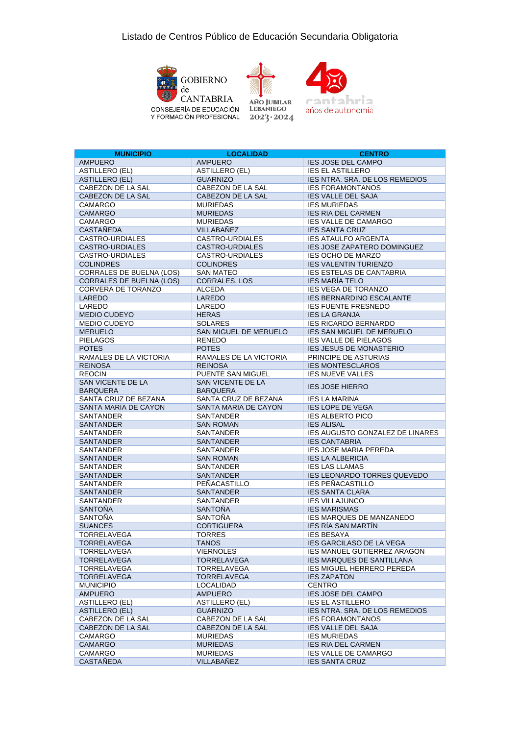



**AÑO IUBILAR LEBANIEGO**  $2023 \cdot 2024$ 



**MUNICIPIO LOCALIDAD CENTRO IES JOSE DEL CAMPO** ASTILLERO (EL) ASTILLERO (EL) IES EL ASTILLERO **IES NTRA. SRA. DE LOS REMEDIOS** CABEZON DE LA SAL CABEZON DE LA SAL IES FORAMONTANOS CABEZON DE LA SAL CABEZON DE LA SAL IES VALLE DEL SAJA CAMARGO MURIEDAS IES MURIEDAS **CAMARGO** MURIEDAS IES RIA DEL CARMEN CAMARGO INURIEDAS IES VALLE DE CAMARGO CASTAÑEDA VILLABAÑEZ IES SANTA CRUZ<br>CASTRO-URDIALES CASTRO-URDIALES IES ATAULEO AR **IFS ATAULFO ARGENTA** CASTRO-URDIALES CASTRO-URDIALES IES JOSE ZAPATERO DOMINGUEZ<br>CASTRO-URDIALES CASTRO-URDIALES IES OCHO DE MARZO **IES OCHO DE MARZO** COLINDRES COLINDRES COLINDRES IES VALENTIN TURIENZO<br>CORRALES DE BUELNA (LOS) SAN MATEO IES ESTELAS DE CANTABRIA CORRALES DE BUELNA (LOS) CORRALES DE BUELNA (LOS) CORRALES, LOS IES MARÍA TELO CORVERA DE TORANZO ALCEDA IES VEGA DE TORANZO LAREDO LAREDO LAREDO IES BERNARDINO ESCALANTE LAREDO LAREDO IES FUENTE FRESNEDO MEDIO CUDEYO HERAS IES LA GRANJA MEDIO CUDEYO SOLARES IES RICARDO BERNARDO MERUELO SAN MIGUEL DE MERUELO IES SAN MIGUEL DE MERUELO PIELAGOS RENEDO RENEDO IES VALLE DE PIELAGOS POTES POTES IES JESUS DE MONASTERIO RAMALES DE LA VICTORIA RAMALES DE LA VICTORIA PRINCIPE DE ASTURIAS REINOSA REINOSA REINOSA REINOSA REINOSA REINOSA REINOSA REINOSA REINOSA REINOSA REINOSA REINOSA REINOSA REINOSA REOCIN PUENTE SAN MIGUEL IES NUEVE VALLES SAN VICENTE DE LA BARQUERA SAN VICENTE DE LA SAN VICENTE DE LA **IES JOSE HIERRO** SANTA CRUZ DE BEZANA SANTA CRUZ DE BEZANA IES LA MARINA SANTA MARIA DE CAYON SANTA MARIA DE CAYON IES LOPE DE VEGA SANTANDER SANTANDER IES ALBERTO PICO<br>SANTANDER SANTOMAN IES ALISAL SAN ROMAN SANTANDER SANTANDER IES AUGUSTO GONZALEZ DE LINARES SANTANDER SANTANDER SANTANDER IES CANTABRIA SANTANDER SANTANDER IES JOSE MARIA PEREDA SANTANDER SAN ROMAN IES LA ALBERICIA SANTANDER SANTANDER IES LAS LLAMAS SANTANDER SANTANDER IES LEONARDO TORRES QUEVEDO SANTANDER PEÑACASTILLO IES PEÑACASTILLO<br>SANTANDER SANTANDER IES SANTA CLARA **IES SANTA CLARA** SANTANDER SANTANDER IES VILLAJUNCO SANTOÑA SANTOÑA SANTOÑA IES MARISMAS SANTOÑA SANTOÑA IES MARQUES DE MANZANEDO SUANCES CORTIGUERA IES RÍA SAN MARTÍN TORRELAVEGA TORRES IES BESAYA TORRELAVEGA TANOS IES GARCILASO DE LA VEGA TORRELAVEGA VIERNOLES IES MANUEL GUTIERREZ ARAGON TORRELAVEGA TORRELAVEGA IES MARQUES DE SANTILLANA<br>TORRELAVEGA TORRELAVEGA IES MIGUEL HERRERO PEREDA TORRELAVEGA TORRELAVEGA IES MIGUEL HERRERO PEREDA<br>TORRELAVEGA TORRELAVEGA IES ZAPATON **TORRELAVEGA** MUNICIPIO LOCALIDAD CENTRO **IES JOSE DEL CAMPO** ASTILLERO (EL) ASTILLERO (EL) IES EL ASTILLERO GUARNIZO **INTERNATIVA EL EL EL ELOS REMEDIOS** CABEZON DE LA SAL CABEZON DE LA SAL IES FORAMONTANOS<br>CABEZON DE LA SAL CABEZON DE LA SAL IES VALLE DEL SAJA CABEZON DE LA SAL CAMARGO MURIEDAS IES MURIEDAS DEL CAMARGO MURIEDAS DEL CAMARGO DEL CAMARGO DEL CAMARGO DEL CAMBIEDAS DEL CAMBIEDAS DEL CAMBIEDAS DEL CAMBIEDAS DEL CAMBIEDAS DEL CAMBIEDAS DEL CAMBIENT DEL CAMBIENT DEL CAMBIENT DEL CAMBIENT **IES RIA DEL CARMEN** CAMARGO MURIEDAS IES VALLE DE CAMARGO **CASTAÑEDA** VILLABAÑEZ IES SANTA CRUZ